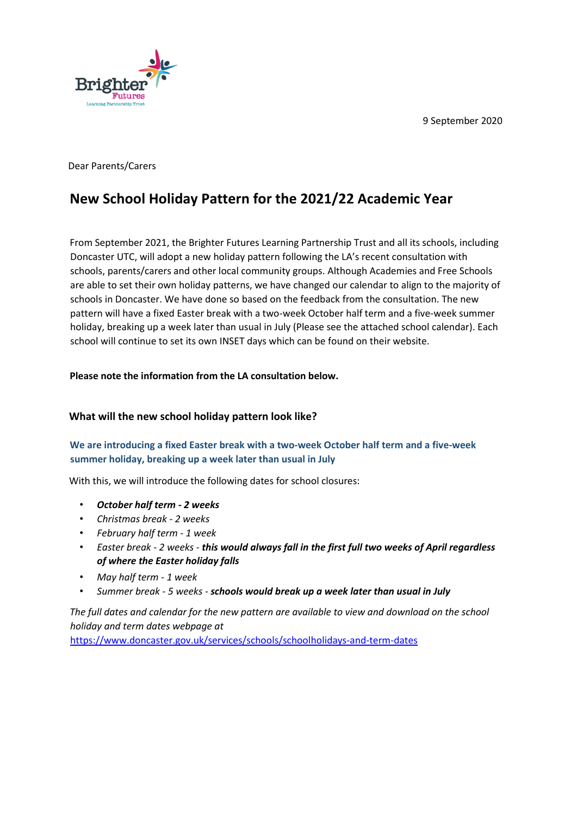9 September 2020



Dear Parents/Carers

# **New School Holiday Pattern for the 2021/22 Academic Year**

From September 2021, the Brighter Futures Learning Partnership Trust and all its schools, including Doncaster UTC, will adopt a new holiday pattern following the LA's recent consultation with schools, parents/carers and other local community groups. Although Academies and Free Schools are able to set their own holiday patterns, we have changed our calendar to align to the majority of schools in Doncaster. We have done so based on the feedback from the consultation. The new pattern will have a fixed Easter break with a two-week October half term and a five-week summer holiday, breaking up a week later than usual in July (Please see the attached school calendar). Each school will continue to set its own INSET days which can be found on their website.

### **Please note the information from the LA consultation below.**

### **What will the new school holiday pattern look like?**

# **We are introducing a fixed Easter break with a two-week October half term and a five-week summer holiday, breaking up a week later than usual in July**

With this, we will introduce the following dates for school closures:

- *October half term - 2 weeks*
- *Christmas break - 2 weeks*
- *February half term - 1 week*
- *Easter break - 2 weeks - this would always fall in the first full two weeks of April regardless of where the Easter holiday falls*
- *May half term - 1 week*
- *Summer break - 5 weeks - schools would break up a week later than usual in July*

*The full dates and calendar for the new pattern are available to view and download on the school holiday and term dates webpage at* 

[https://www.doncaster.gov.uk/services/schools/schoolholidays-and-term-dates](https://www.doncaster.gov.uk/services/schools/school-holidays-and-term-dates)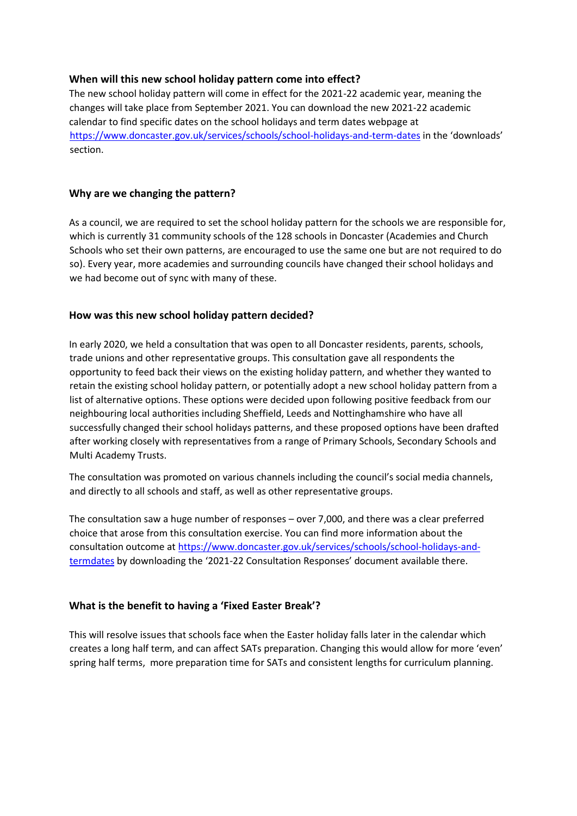## **When will this new school holiday pattern come into effect?**

The new school holiday pattern will come in effect for the 2021-22 academic year, meaning the changes will take place from September 2021. You can download the new 2021-22 academic calendar to find specific dates on the school holidays and term dates webpage at <https://www.doncaster.gov.uk/services/schools/school-holidays-and-term-dates> in the 'downloads' section.

### **Why are we changing the pattern?**

As a council, we are required to set the school holiday pattern for the schools we are responsible for, which is currently 31 community schools of the 128 schools in Doncaster (Academies and Church Schools who set their own patterns, are encouraged to use the same one but are not required to do so). Every year, more academies and surrounding councils have changed their school holidays and we had become out of sync with many of these.

### **How was this new school holiday pattern decided?**

In early 2020, we held a consultation that was open to all Doncaster residents, parents, schools, trade unions and other representative groups. This consultation gave all respondents the opportunity to feed back their views on the existing holiday pattern, and whether they wanted to retain the existing school holiday pattern, or potentially adopt a new school holiday pattern from a list of alternative options. These options were decided upon following positive feedback from our neighbouring local authorities including Sheffield, Leeds and Nottinghamshire who have all successfully changed their school holidays patterns, and these proposed options have been drafted after working closely with representatives from a range of Primary Schools, Secondary Schools and Multi Academy Trusts.

The consultation was promoted on various channels including the council's social media channels, and directly to all schools and staff, as well as other representative groups.

The consultation saw a huge number of responses – over 7,000, and there was a clear preferred choice that arose from this consultation exercise. You can find more information about the consultation outcome a[t https://www.doncaster.gov.uk/services/schools/school-holidays-and](https://www.doncaster.gov.uk/services/schools/school-holidays-and-term-dates)[termdates](https://www.doncaster.gov.uk/services/schools/school-holidays-and-term-dates) [b](https://www.doncaster.gov.uk/services/schools/school-holidays-and-term-dates)y downloading the '2021-22 Consultation Responses' document available there.

### **What is the benefit to having a 'Fixed Easter Break'?**

This will resolve issues that schools face when the Easter holiday falls later in the calendar which creates a long half term, and can affect SATs preparation. Changing this would allow for more 'even' spring half terms, more preparation time for SATs and consistent lengths for curriculum planning.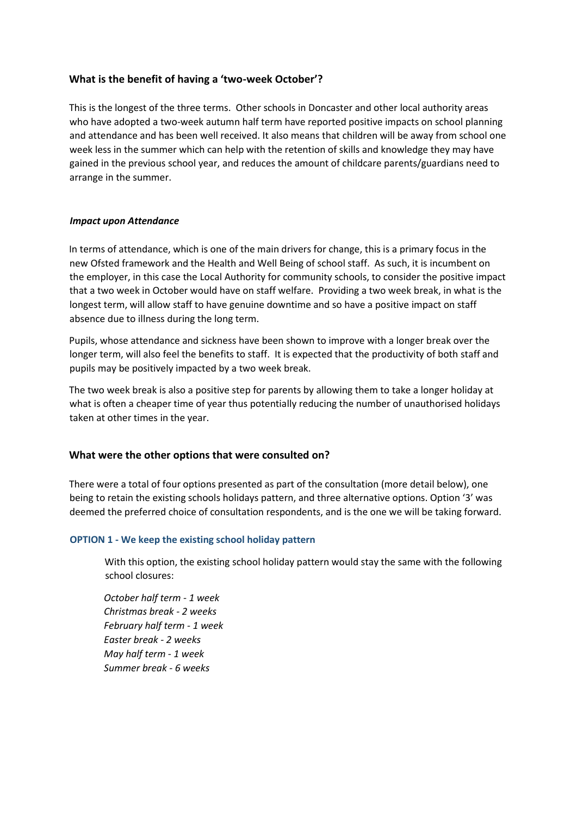## **What is the benefit of having a 'two-week October'?**

This is the longest of the three terms. Other schools in Doncaster and other local authority areas who have adopted a two-week autumn half term have reported positive impacts on school planning and attendance and has been well received. It also means that children will be away from school one week less in the summer which can help with the retention of skills and knowledge they may have gained in the previous school year, and reduces the amount of childcare parents/guardians need to arrange in the summer.

#### *Impact upon Attendance*

In terms of attendance, which is one of the main drivers for change, this is a primary focus in the new Ofsted framework and the Health and Well Being of school staff. As such, it is incumbent on the employer, in this case the Local Authority for community schools, to consider the positive impact that a two week in October would have on staff welfare. Providing a two week break, in what is the longest term, will allow staff to have genuine downtime and so have a positive impact on staff absence due to illness during the long term.

Pupils, whose attendance and sickness have been shown to improve with a longer break over the longer term, will also feel the benefits to staff. It is expected that the productivity of both staff and pupils may be positively impacted by a two week break.

The two week break is also a positive step for parents by allowing them to take a longer holiday at what is often a cheaper time of year thus potentially reducing the number of unauthorised holidays taken at other times in the year.

### **What were the other options that were consulted on?**

There were a total of four options presented as part of the consultation (more detail below), one being to retain the existing schools holidays pattern, and three alternative options. Option '3' was deemed the preferred choice of consultation respondents, and is the one we will be taking forward.

#### **OPTION 1 - We keep the existing school holiday pattern**

With this option, the existing school holiday pattern would stay the same with the following school closures:

*October half term - 1 week Christmas break - 2 weeks February half term - 1 week Easter break - 2 weeks May half term - 1 week Summer break - 6 weeks*